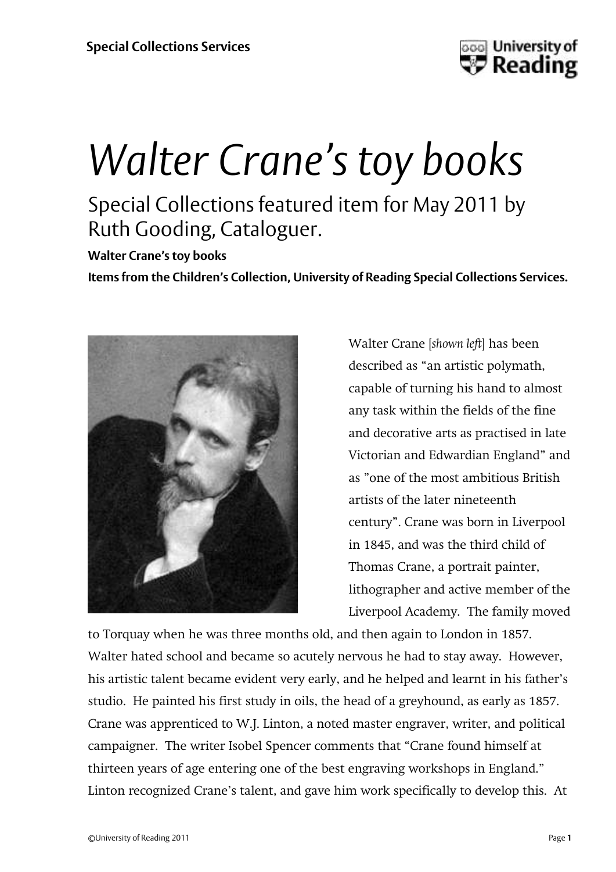

## *Walter Crane's toy books* Special Collections featured item for May 2011 by Ruth Gooding, Cataloguer.

**Walter Crane's toy books**

**Items from the Children's Collection, University of Reading Special Collections Services.**



Walter Crane [*shown left*] has been described as 'an artistic polymath, capable of turning his hand to almost any task within the fields of the fine and decorative arts as practised in late Victorian and Edwardian England' and as 'one of the most ambitious British artists of the later nineteenth century'. Crane was born in Liverpool in 1845, and was the third child of Thomas Crane, a portrait painter, lithographer and active member of the Liverpool Academy. The family moved

to Torquay when he was three months old, and then again to London in 1857. Walter hated school and became so acutely nervous he had to stay away. However, his artistic talent became evident very early, and he helped and learnt in his father's studio. He painted his first study in oils, the head of a greyhound, as early as 1857. Crane was apprenticed to W.J. Linton, a noted master engraver, writer, and political campaigner. The writer Isobel Spencer comments that 'Crane found himself at thirteen years of age entering one of the best engraving workshops in England.' Linton recognized Crane's talent, and gave him work specifically to develop this. At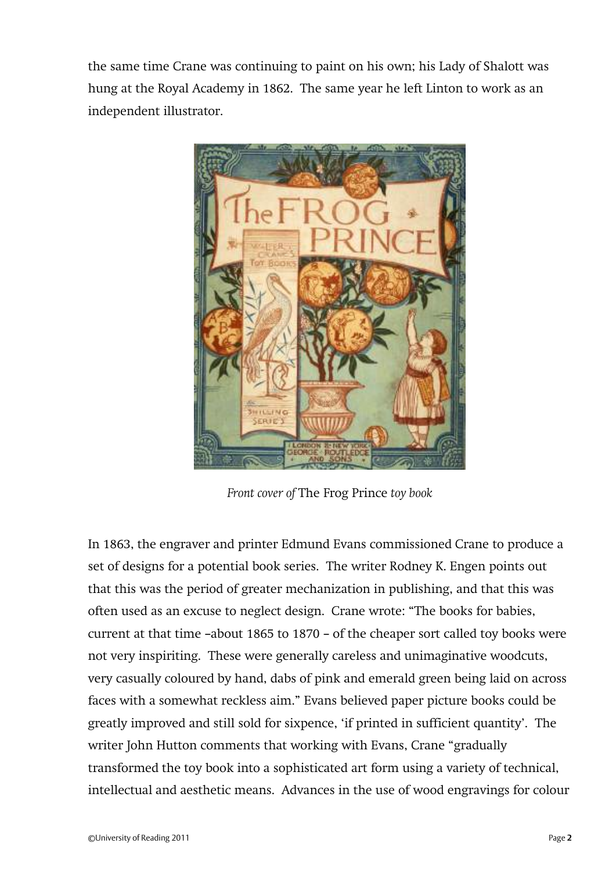the same time Crane was continuing to paint on his own; his Lady of Shalott was hung at the Royal Academy in 1862. The same year he left Linton to work as an independent illustrator.



*Front cover of* The Frog Prince *toy book*

In 1863, the engraver and printer Edmund Evans commissioned Crane to produce a set of designs for a potential book series. The writer Rodney K. Engen points out that this was the period of greater mechanization in publishing, and that this was often used as an excuse to neglect design. Crane wrote: 'The books for babies, current at that time –about 1865 to 1870 – of the cheaper sort called toy books were not very inspiriting. These were generally careless and unimaginative woodcuts, very casually coloured by hand, dabs of pink and emerald green being laid on across faces with a somewhat reckless aim.' Evans believed paper picture books could be greatly improved and still sold for sixpence, 'if printed in sufficient quantity'. The writer John Hutton comments that working with Evans, Crane "gradually transformed the toy book into a sophisticated art form using a variety of technical, intellectual and aesthetic means. Advances in the use of wood engravings for colour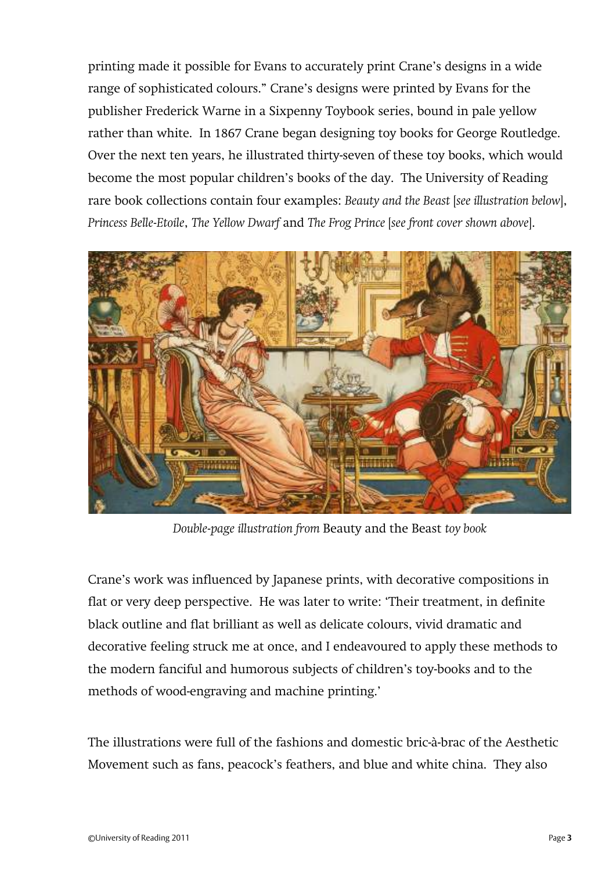printing made it possible for Evans to accurately print Crane's designs in a wide range of sophisticated colours.' Crane's designs were printed by Evans for the publisher Frederick Warne in a Sixpenny Toybook series, bound in pale yellow rather than white. In 1867 Crane began designing toy books for George Routledge. Over the next ten years, he illustrated thirty-seven of these toy books, which would become the most popular children's books of the day. The University of Reading rare book collections contain four examples: *Beauty and the Beast* [*see illustration below*], *Princess Belle-Etoile*, *The Yellow Dwarf* and *The Frog Prince* [*see front cover shown above*].



*Double-page illustration from* Beauty and the Beast *toy book*

Crane's work was influenced by Japanese prints, with decorative compositions in flat or very deep perspective. He was later to write: 'Their treatment, in definite black outline and flat brilliant as well as delicate colours, vivid dramatic and decorative feeling struck me at once, and I endeavoured to apply these methods to the modern fanciful and humorous subjects of children's toy-books and to the methods of wood-engraving and machine printing.'

The illustrations were full of the fashions and domestic bric-à-brac of the Aesthetic Movement such as fans, peacock's feathers, and blue and white china. They also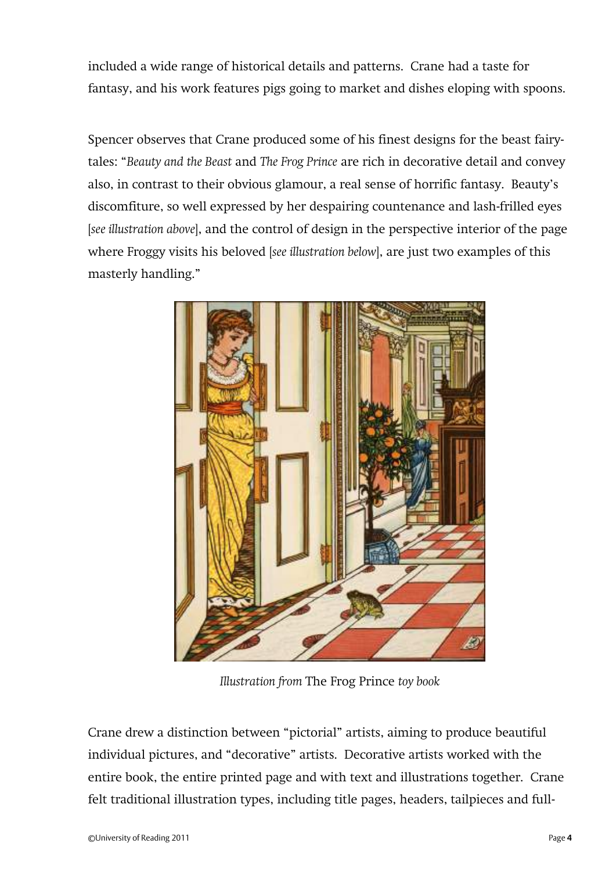included a wide range of historical details and patterns. Crane had a taste for fantasy, and his work features pigs going to market and dishes eloping with spoons.

Spencer observes that Crane produced some of his finest designs for the beast fairytales: '*Beauty and the Beast* and *The Frog Prince* are rich in decorative detail and convey also, in contrast to their obvious glamour, a real sense of horrific fantasy. Beauty's discomfiture, so well expressed by her despairing countenance and lash-frilled eyes [*see illustration above*], and the control of design in the perspective interior of the page where Froggy visits his beloved [*see illustration below*], are just two examples of this masterly handling.'



*Illustration from* The Frog Prince *toy book*

Crane drew a distinction between 'pictorial' artists, aiming to produce beautiful individual pictures, and 'decorative' artists. Decorative artists worked with the entire book, the entire printed page and with text and illustrations together. Crane felt traditional illustration types, including title pages, headers, tailpieces and full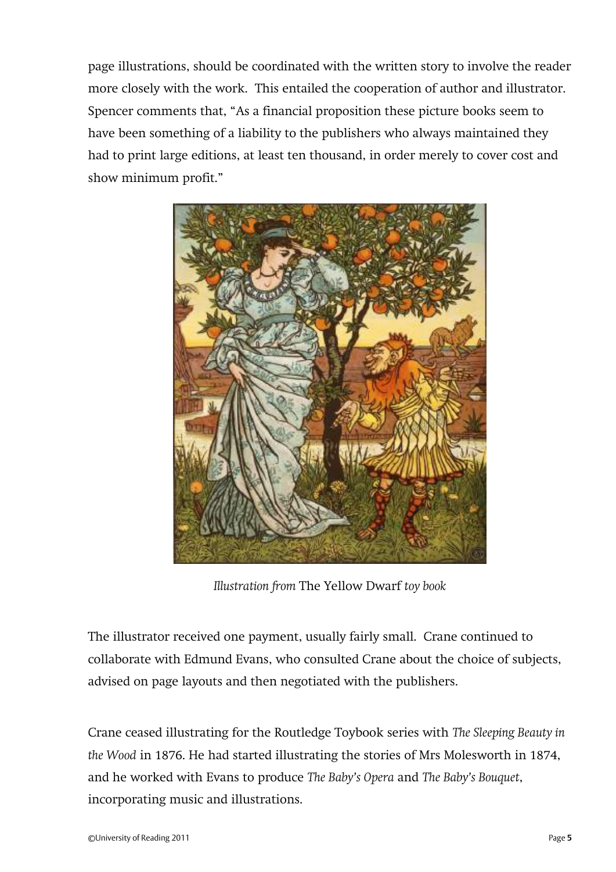page illustrations, should be coordinated with the written story to involve the reader more closely with the work. This entailed the cooperation of author and illustrator. Spencer comments that, 'As a financial proposition these picture books seem to have been something of a liability to the publishers who always maintained they had to print large editions, at least ten thousand, in order merely to cover cost and show minimum profit.'



*Illustration from* The Yellow Dwarf *toy book*

The illustrator received one payment, usually fairly small. Crane continued to collaborate with Edmund Evans, who consulted Crane about the choice of subjects, advised on page layouts and then negotiated with the publishers.

Crane ceased illustrating for the Routledge Toybook series with *The Sleeping Beauty in the Wood* in 1876. He had started illustrating the stories of Mrs Molesworth in 1874, and he worked with Evans to produce *The Baby's Opera* and *The Baby's Bouquet*, incorporating music and illustrations.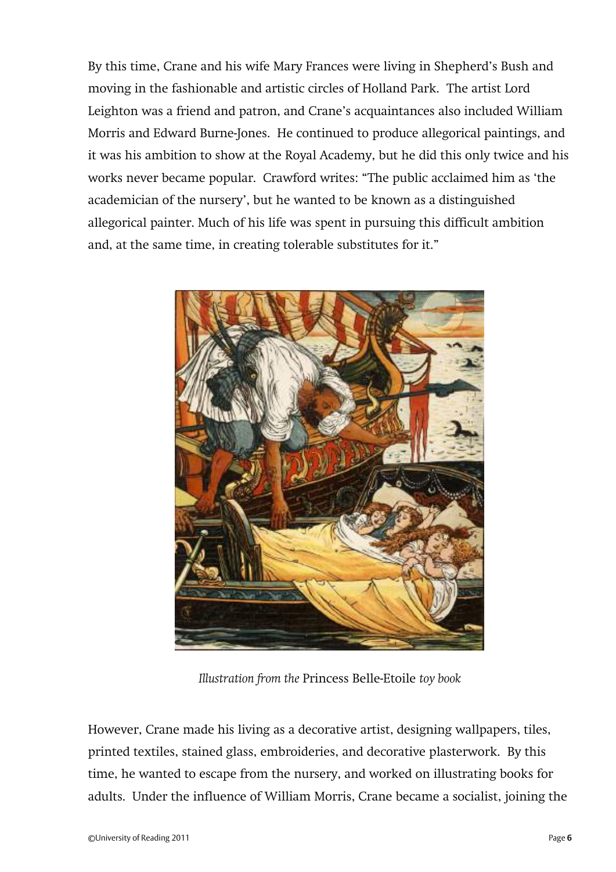By this time, Crane and his wife Mary Frances were living in Shepherd's Bush and moving in the fashionable and artistic circles of Holland Park. The artist Lord Leighton was a friend and patron, and Crane's acquaintances also included William Morris and Edward Burne-Jones. He continued to produce allegorical paintings, and it was his ambition to show at the Royal Academy, but he did this only twice and his works never became popular. Crawford writes: 'The public acclaimed him as 'the academician of the nursery', but he wanted to be known as a distinguished allegorical painter. Much of his life was spent in pursuing this difficult ambition and, at the same time, in creating tolerable substitutes for it."



*Illustration from the* Princess Belle-Etoile *toy book*

However, Crane made his living as a decorative artist, designing wallpapers, tiles, printed textiles, stained glass, embroideries, and decorative plasterwork. By this time, he wanted to escape from the nursery, and worked on illustrating books for adults. Under the influence of William Morris, Crane became a socialist, joining the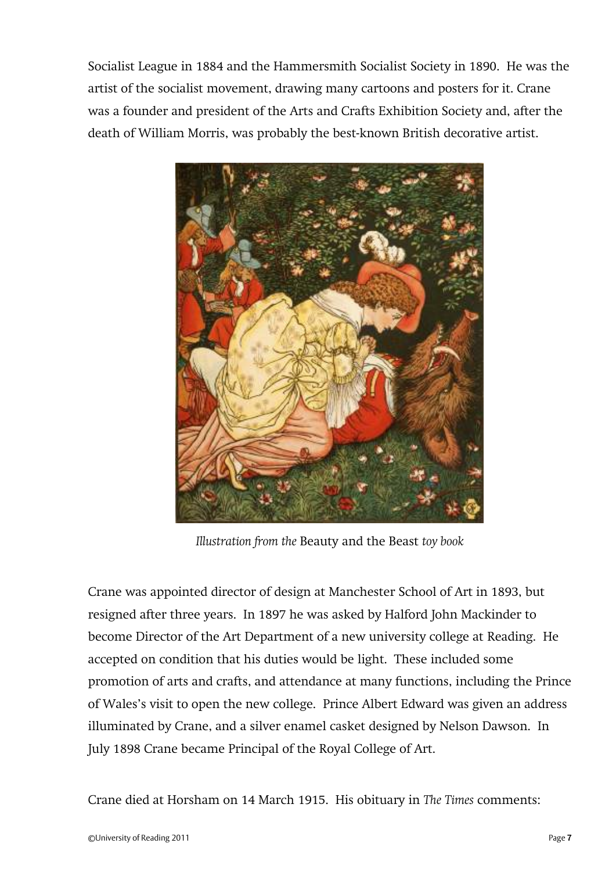Socialist League in 1884 and the Hammersmith Socialist Society in 1890. He was the artist of the socialist movement, drawing many cartoons and posters for it. Crane was a founder and president of the Arts and Crafts Exhibition Society and, after the death of William Morris, was probably the best-known British decorative artist.



*Illustration from the* Beauty and the Beast *toy book*

Crane was appointed director of design at Manchester School of Art in 1893, but resigned after three years. In 1897 he was asked by Halford John Mackinder to become Director of the Art Department of a new university college at Reading. He accepted on condition that his duties would be light. These included some promotion of arts and crafts, and attendance at many functions, including the Prince of Wales's visit to open the new college. Prince Albert Edward was given an address illuminated by Crane, and a silver enamel casket designed by Nelson Dawson. In July 1898 Crane became Principal of the Royal College of Art.

Crane died at Horsham on 14 March 1915. His obituary in *The Times* comments: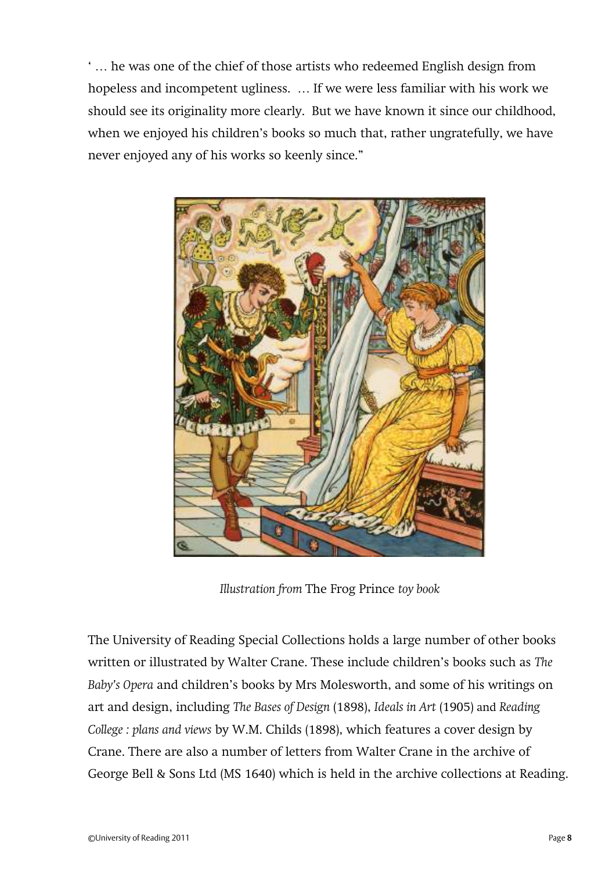' … he was one of the chief of those artists who redeemed English design from hopeless and incompetent ugliness. … If we were less familiar with his work we should see its originality more clearly. But we have known it since our childhood, when we enjoyed his children's books so much that, rather ungratefully, we have never enjoyed any of his works so keenly since.'



*Illustration from* The Frog Prince *toy book*

The University of Reading Special Collections holds a large number of other books written or illustrated by Walter Crane. These include children's books such as *The Baby's Opera* and children's books by Mrs Molesworth, and some of his writings on art and design, including *The Bases of Design* (1898), *Ideals in Art* (1905) and *Reading College : plans and views* by W.M. Childs (1898), which features a cover design by Crane. There are also a number of letters from Walter Crane in the archive of George Bell & Sons Ltd (MS 1640) which is held in the archive collections at Reading.